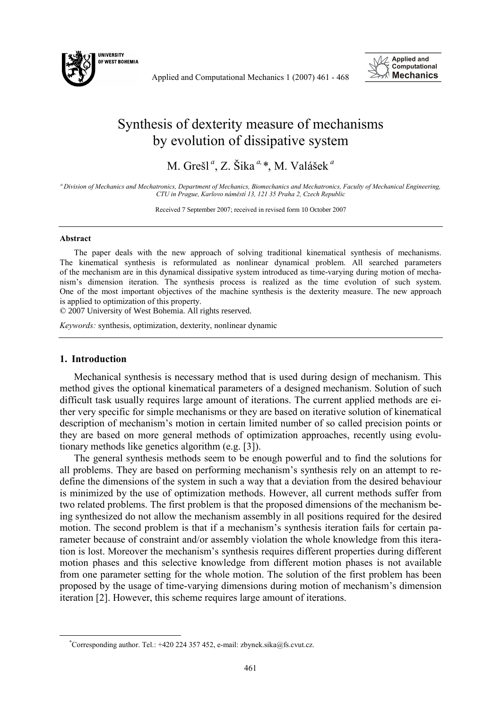

Applied and Computational Mechanics 1 (2007) 461 - 468



## Synthesis of dexterity measure of mechanisms by evolution of dissipative system

M. Grešl *<sup>a</sup>* , Z. Šika *a,\**, M. Valášek *<sup>a</sup>*

*<sup>a</sup> Division of Mechanics and Mechatronics, Department of Mechanics, Biomechanics and Mechatronics, Faculty of Mechanical Engineering, CTU in Prague, Karlovo nám"stí 13, 121 35 Praha 2, Czech Republic* 

Received 7 September 2007; received in revised form 10 October 2007

## **Abstract**

The paper deals with the new approach of solving traditional kinematical synthesis of mechanisms. The kinematical synthesis is reformulated as nonlinear dynamical problem. All searched parameters of the mechanism are in this dynamical dissipative system introduced as time-varying during motion of mechanism's dimension iteration. The synthesis process is realized as the time evolution of such system. One of the most important objectives of the machine synthesis is the dexterity measure. The new approach is applied to optimization of this property.

© 2007 University of West Bohemia. All rights reserved.

*Keywords:* synthesis, optimization, dexterity, nonlinear dynamic

## **1. Introduction**

Mechanical synthesis is necessary method that is used during design of mechanism. This method gives the optional kinematical parameters of a designed mechanism. Solution of such difficult task usually requires large amount of iterations. The current applied methods are either very specific for simple mechanisms or they are based on iterative solution of kinematical description of mechanism's motion in certain limited number of so called precision points or they are based on more general methods of optimization approaches, recently using evolutionary methods like genetics algorithm (e.g. [3]).

The general synthesis methods seem to be enough powerful and to find the solutions for all problems. They are based on performing mechanism's synthesis rely on an attempt to redefine the dimensions of the system in such a way that a deviation from the desired behaviour is minimized by the use of optimization methods. However, all current methods suffer from two related problems. The first problem is that the proposed dimensions of the mechanism being synthesized do not allow the mechanism assembly in all positions required for the desired motion. The second problem is that if a mechanism's synthesis iteration fails for certain parameter because of constraint and/or assembly violation the whole knowledge from this iteration is lost. Moreover the mechanism's synthesis requires different properties during different motion phases and this selective knowledge from different motion phases is not available from one parameter setting for the whole motion. The solution of the first problem has been proposed by the usage of time-varying dimensions during motion of mechanism's dimension iteration [2]. However, this scheme requires large amount of iterations.

<sup>\*</sup> Corresponding author. Tel.: +420 224 357 452, e-mail: zbynek.sika@fs.cvut.cz.